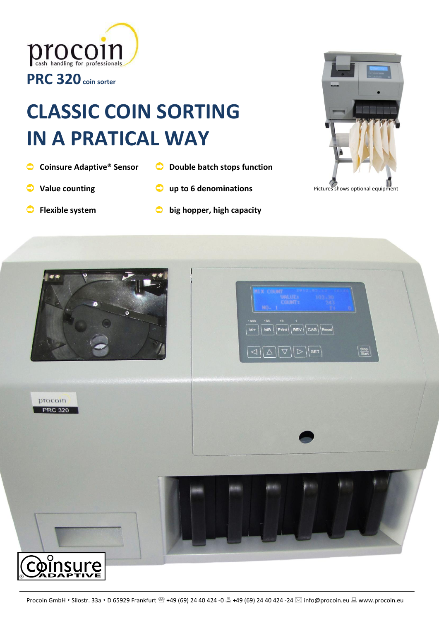



- **Coinsure Adaptive® Sensor**
- **Double batch stops function**
- **Value counting**
- **up to 6 denominations**  $\bullet$
- **Flexible system**
- **big hopper, high capacity**